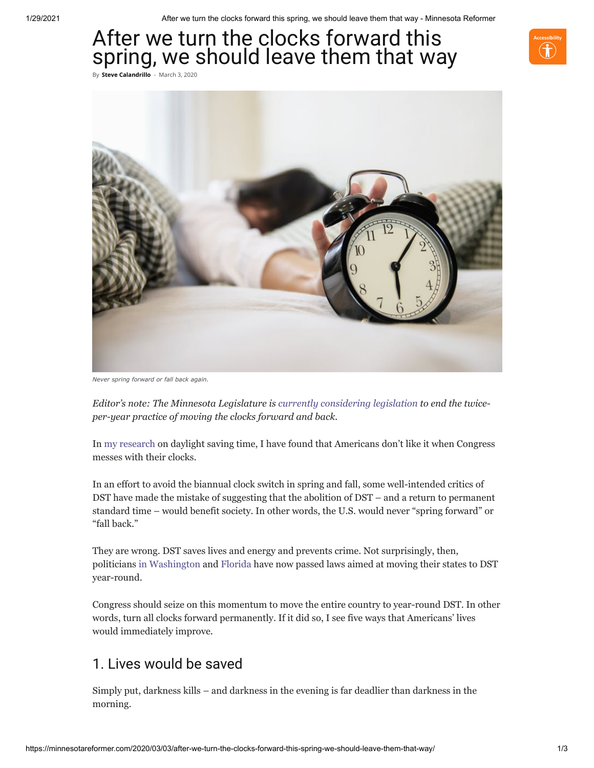### After we turn the clocks forward this spring, we should leave them that way By **[Steve Calandrillo](https://minnesotareformer.com/author/steve-calandrillo/)** - March 3, 2020





*Never spring forward or fall back again.*

*Editor's note: The Minnesota Legislature is currently [considering](https://minnesotareformer.com/briefs/legislators-try-to-make-it-daylight-saving-time-year-round-again/) legislation to end the twiceper-year practice of moving the clocks forward and back.*

In my [research](http://wakeforestlawreview.com/2008/01/time-well-spent-an-economic-analysis-of-daylight-saving-time-legislation/) on daylight saving time, I have found that Americans don't like it when Congress messes with their clocks.

In an effort to avoid the biannual clock switch in spring and fall, some well-intended critics of DST have made the mistake of suggesting that the abolition of DST – and a return to permanent standard time – would benefit society. In other words, the U.S. would never "spring forward" or "fall back."

They are wrong. DST saves lives and energy and prevents crime. Not surprisingly, then, politicians [in Washington](https://www.seattlepi.com/news/politics/article/Washington-passed-a-law-to-stay-on-DST-forever-14803071.php) and [Florida](https://www.orlandosentinel.com/news/politics/political-pulse/os-daylight-saving-law-20180703-story.html) have now passed laws aimed at moving their states to DST year-round.

Congress should seize on this momentum to move the entire country to year-round DST. In other words, turn all clocks forward permanently. If it did so, I see five ways that Americans' lives would immediately improve.

# 1. Lives would be saved

Simply put, darkness kills – and darkness in the evening is far deadlier than darkness in the morning.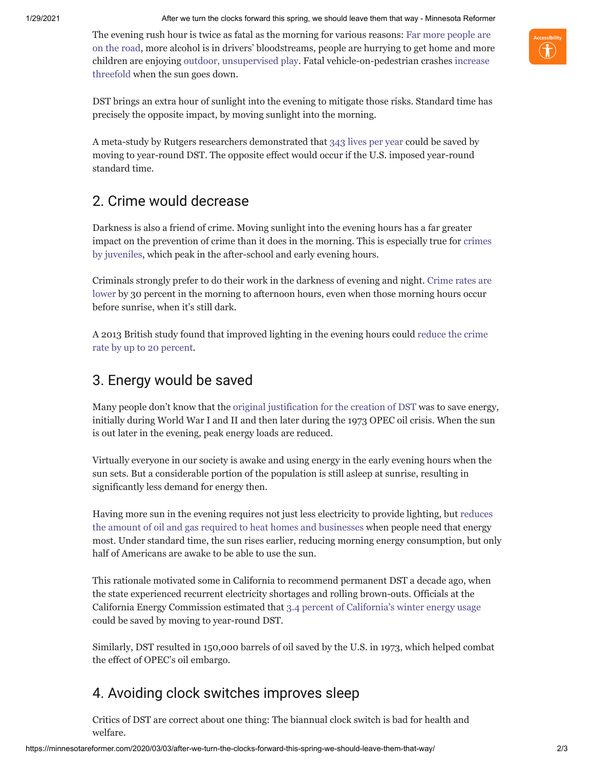1/29/2021 After we turn the clocks forward this spring, we should leave them that way - Minnesota Reformer

The evening rush hour is twice as fatal as the morning for [various reasons: Far](https://dx.doi.org/10.1136%2Fip.2005.011056) more people are on the road, more alcohol is in drivers' bloodstreams, people are hurrying to get home and more children are enjoying outdoor, [unsupervised](http://commdocs.house.gov/committees/science/hsy73325.000/hsy73325_0.HTM) play. Fatal [vehicle-on-pedestrian crashes increase](https://www.ncbi.nlm.nih.gov/pmc/articles/PMC1615292/) threefold when the sun goes down.



DST brings an extra hour of sunlight into the evening to mitigate those risks. Standard time has precisely the opposite impact, by moving sunlight into the morning.

A meta-study by Rutgers researchers demonstrated that [343 lives per](https://www.ncbi.nlm.nih.gov/pubmed/15003579) year could be saved by moving to year-round DST. The opposite effect would occur if the U.S. imposed year-round standard time.

# 2. Crime would decrease

Darkness is also a friend of crime. Moving sunlight into the evening hours has a far greater impact on the prevention of crime than it [does in the morning.](https://www.ojjdp.gov/ojstatbb/offenders/qa03401.asp?qaDate=2016) This is especially true for crimes by juveniles, which peak in the after-school and early evening hours.

Criminals strongly prefer to do their work in the darkness of evening and night. Crime rates are lower by 30 percent in the morning to afternoon hours, [even when those morning](https://doi.org/10.1016/S0169-2070(03)00093-1) hours occur before sunrise, when it's still dark.

A 2013 British study found that improved lighting in the evening hours could [reduce the crime](http://library.college.police.uk/docs/what-works/What-works-briefing-improved-street-lighting-2013.pdf) rate by up to 20 percent.

### 3. Energy would be saved

Many people don't know that the original [justification for](http://wakeforestlawreview.com/2008/01/time-well-spent-an-economic-analysis-of-daylight-saving-time-legislation/) the creation of DST was to save energy, initially during World War I and II and then later during the 1973 OPEC oil crisis. When the sun is out later in the evening, peak energy loads are reduced.

Virtually everyone in our society is awake and using energy in the early evening hours when the sun sets. But a considerable portion of the population is still asleep at sunrise, resulting in significantly less demand for energy then.

Having [more sun in the evening](https://www.energy.ca.gov/reports/2001-05-23_400-01-013.PDF) requires not just less electricity to provide lighting, but reduces the amount of oil and gas required to heat homes and businesses when people need that energy most. Under standard time, the sun rises earlier, reducing morning energy consumption, but only half of Americans are awake to be able to use the sun.

This rationale motivated some in California to recommend permanent DST a decade ago, when the state experienced recurrent electricity shortages and rolling brown-outs. Officials at the California Energy Commission estimated that 3.4 percent of [California's winter](https://www.energy.ca.gov/reports/2001-05-23_400-01-013.PDF) energy usage could be saved by moving to year-round DST.

Similarly, DST resulted in 150,000 barrels of oil saved by the U.S. in 1973, which helped combat the effect of OPEC's oil embargo.

# 4. Avoiding clock switches improves sleep

Critics of DST are correct about one thing: The biannual clock switch is bad for health and welfare.